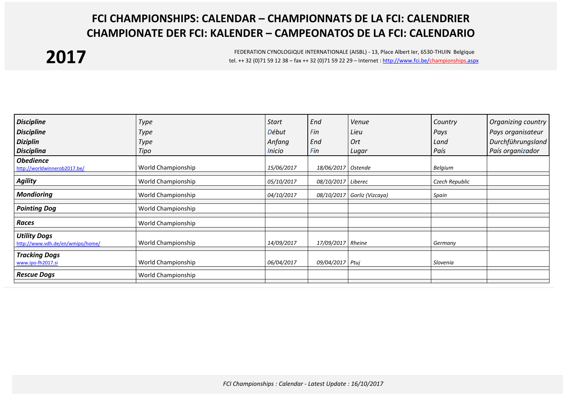## **FCI CHAMPIONSHIPS: CALENDAR – CHAMPIONNATS DE LA FCI: CALENDRIER CHAMPIONATE DER FCI: KALENDER – CAMPEONATOS DE LA FCI: CALENDARIO**

## **2017**

FEDERATION CYNOLOGIQUE INTERNATIONALE (AISBL) - 13, Place Albert Ier, 6530-THUIN Belgique tel. ++ 32 (0)71 59 12 38 – fax ++ 32 (0)71 59 22 29 – Internet [: http://www.fci.be/championships.aspx](http://www.fci.be/championships.aspx)

| <b>Discipline</b>                                       | <b>Type</b>        | Start         | End                | Venue                       | Country        | Organizing country |
|---------------------------------------------------------|--------------------|---------------|--------------------|-----------------------------|----------------|--------------------|
| <b>Discipline</b>                                       | <b>Type</b>        | Début         | Fin                | Lieu                        | Pays           | Pays organisateur  |
| <b>Diziplin</b>                                         | <b>Type</b>        | Anfang        | End                | Ort                         | Land           | Durchführungsland  |
| <b>Disciplina</b>                                       | Tipo               | <i>Inicio</i> | Fin                | Lugar                       | País           | País organizador   |
| <b>Obedience</b><br>http://worldwinnerob2017.be/        | World Championship | 15/06/2017    | 18/06/2017 Ostende |                             | Belgium        |                    |
| <b>Agility</b>                                          | World Championship | 05/10/2017    | 08/10/2017 Liberec |                             | Czech Republic |                    |
| <b>Mondioring</b>                                       | World Championship | 04/10/2017    |                    | 08/10/2017 Gorliz (Vizcaya) | Spain          |                    |
| <b>Pointing Dog</b>                                     | World Championship |               |                    |                             |                |                    |
| <b>Races</b>                                            | World Championship |               |                    |                             |                |                    |
| <b>Utility Dogs</b><br>http://www.vdh.de/en/wmipo/home/ | World Championship | 14/09/2017    | 17/09/2017 Rheine  |                             | Germany        |                    |
| <b>Tracking Dogs</b><br>www.ipo-fh2017.si               | World Championship | 06/04/2017    | 09/04/2017 Ptuj    |                             | Slovenia       |                    |
| <b>Rescue Dogs</b>                                      | World Championship |               |                    |                             |                |                    |